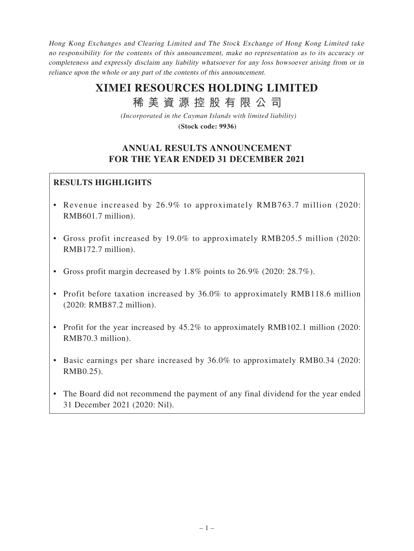Hong Kong Exchanges and Clearing Limited and The Stock Exchange of Hong Kong Limited take no responsibility for the contents of this announcement, make no representation as to its accuracy or completeness and expressly disclaim any liability whatsoever for any loss howsoever arising from or in reliance upon the whole or any part of the contents of this announcement.

# **XIMEI RESOURCES HOLDING LIMITED**

稀 美 資 源 控 股 有 限 公 司

*(Incorporated in the Cayman Islands with limited liability)*

**(Stock code: 9936)**

# **ANNUAL RESULTS ANNOUNCEMENT FOR THE YEAR ENDED 31 DECEMBER 2021**

## **RESULTS HIGHLIGHTS**

- Revenue increased by 26.9% to approximately RMB763.7 million (2020: RMB601.7 million).
- Gross profit increased by 19.0% to approximately RMB205.5 million (2020: RMB172.7 million).
- Gross profit margin decreased by 1.8% points to 26.9% (2020: 28.7%).
- Profit before taxation increased by 36.0% to approximately RMB118.6 million (2020: RMB87.2 million).
- Profit for the year increased by 45.2% to approximately RMB102.1 million (2020: RMB70.3 million).
- Basic earnings per share increased by 36.0% to approximately RMB0.34 (2020: RMB0.25).
- The Board did not recommend the payment of any final dividend for the year ended 31 December 2021 (2020: Nil).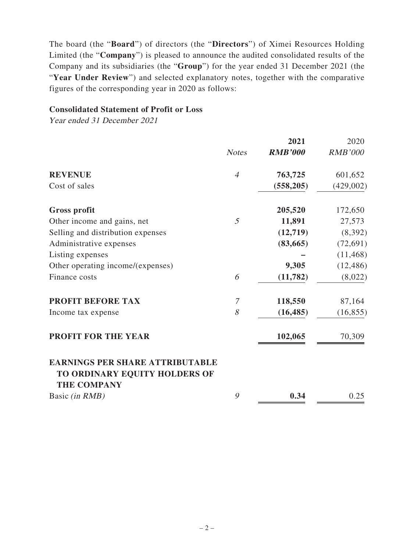The board (the "**Board**") of directors (the "**Directors**") of Ximei Resources Holding Limited (the "**Company**") is pleased to announce the audited consolidated results of the Company and its subsidiaries (the "**Group**") for the year ended 31 December 2021 (the "**Year Under Review**") and selected explanatory notes, together with the comparative figures of the corresponding year in 2020 as follows:

#### **Consolidated Statement of Profit or Loss**

Year ended 31 December 2021

|                                                                         |                | 2021           | 2020           |
|-------------------------------------------------------------------------|----------------|----------------|----------------|
|                                                                         | <b>Notes</b>   | <b>RMB'000</b> | <b>RMB'000</b> |
| <b>REVENUE</b>                                                          | $\overline{4}$ | 763,725        | 601,652        |
| Cost of sales                                                           |                | (558, 205)     | (429,002)      |
| <b>Gross profit</b>                                                     |                | 205,520        | 172,650        |
| Other income and gains, net                                             | 5              | 11,891         | 27,573         |
| Selling and distribution expenses                                       |                | (12,719)       | (8, 392)       |
| Administrative expenses                                                 |                | (83, 665)      | (72, 691)      |
| Listing expenses                                                        |                |                | (11, 468)      |
| Other operating income/(expenses)                                       |                | 9,305          | (12, 486)      |
| Finance costs                                                           | 6              | (11, 782)      | (8,022)        |
| <b>PROFIT BEFORE TAX</b>                                                | $\mathcal{I}$  | 118,550        | 87,164         |
| Income tax expense                                                      | 8              | (16, 485)      | (16, 855)      |
| <b>PROFIT FOR THE YEAR</b>                                              |                | 102,065        | 70,309         |
| <b>EARNINGS PER SHARE ATTRIBUTABLE</b><br>TO ORDINARY EQUITY HOLDERS OF |                |                |                |
| <b>THE COMPANY</b>                                                      |                |                |                |
| Basic (in RMB)                                                          | 9              | 0.34           | 0.25           |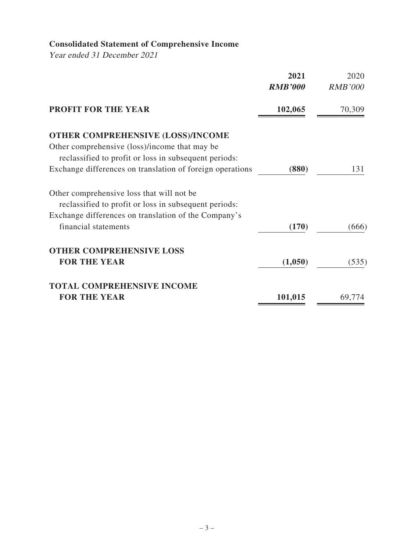# **Consolidated Statement of Comprehensive Income**

Year ended 31 December 2021

|                                                           | 2021<br><b>RMB'000</b> | 2020<br><b>RMB'000</b> |
|-----------------------------------------------------------|------------------------|------------------------|
| <b>PROFIT FOR THE YEAR</b>                                | 102,065                | 70,309                 |
| <b>OTHER COMPREHENSIVE (LOSS)/INCOME</b>                  |                        |                        |
| Other comprehensive (loss)/income that may be             |                        |                        |
| reclassified to profit or loss in subsequent periods:     |                        |                        |
| Exchange differences on translation of foreign operations | (880)                  | 131                    |
| Other comprehensive loss that will not be                 |                        |                        |
| reclassified to profit or loss in subsequent periods:     |                        |                        |
| Exchange differences on translation of the Company's      |                        |                        |
| financial statements                                      | (170)                  | (666)                  |
| <b>OTHER COMPREHENSIVE LOSS</b>                           |                        |                        |
| <b>FOR THE YEAR</b>                                       | (1,050)                | (535)                  |
| <b>TOTAL COMPREHENSIVE INCOME</b>                         |                        |                        |
| <b>FOR THE YEAR</b>                                       | 101,015                | 69,774                 |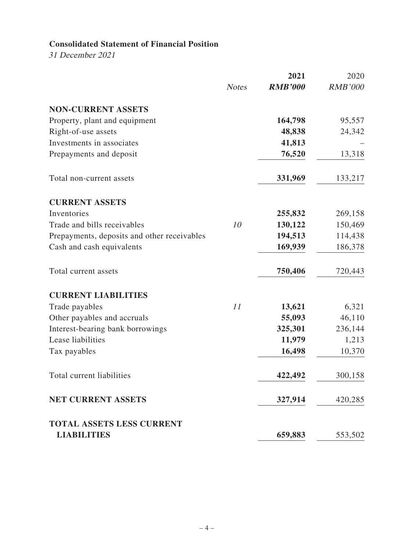## **Consolidated Statement of Financial Position**

31 December 2021

|                                             |              | 2021           | 2020           |
|---------------------------------------------|--------------|----------------|----------------|
|                                             | <b>Notes</b> | <b>RMB'000</b> | <b>RMB'000</b> |
| <b>NON-CURRENT ASSETS</b>                   |              |                |                |
| Property, plant and equipment               |              | 164,798        | 95,557         |
| Right-of-use assets                         |              | 48,838         | 24,342         |
| Investments in associates                   |              | 41,813         |                |
| Prepayments and deposit                     |              | 76,520         | 13,318         |
| Total non-current assets                    |              | 331,969        | 133,217        |
| <b>CURRENT ASSETS</b>                       |              |                |                |
| Inventories                                 |              | 255,832        | 269,158        |
| Trade and bills receivables                 | 10           | 130,122        | 150,469        |
| Prepayments, deposits and other receivables |              | 194,513        | 114,438        |
| Cash and cash equivalents                   |              | 169,939        | 186,378        |
| Total current assets                        |              | 750,406        | 720,443        |
| <b>CURRENT LIABILITIES</b>                  |              |                |                |
| Trade payables                              | 11           | 13,621         | 6,321          |
| Other payables and accruals                 |              | 55,093         | 46,110         |
| Interest-bearing bank borrowings            |              | 325,301        | 236,144        |
| Lease liabilities                           |              | 11,979         | 1,213          |
| Tax payables                                |              | 16,498         | 10,370         |
| Total current liabilities                   |              | 422,492        | 300,158        |
| <b>NET CURRENT ASSETS</b>                   |              | 327,914        | 420,285        |
| <b>TOTAL ASSETS LESS CURRENT</b>            |              |                |                |
| <b>LIABILITIES</b>                          |              | 659,883        | 553,502        |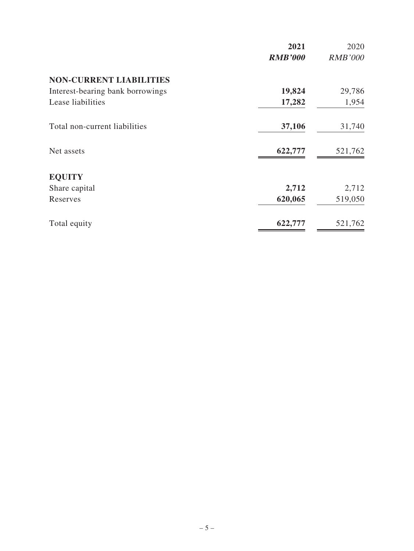|                                  | 2021           | 2020           |
|----------------------------------|----------------|----------------|
|                                  | <b>RMB'000</b> | <b>RMB'000</b> |
| <b>NON-CURRENT LIABILITIES</b>   |                |                |
| Interest-bearing bank borrowings | 19,824         | 29,786         |
| Lease liabilities                | 17,282         | 1,954          |
| Total non-current liabilities    | 37,106         | 31,740         |
| Net assets                       | 622,777        | 521,762        |
| <b>EQUITY</b>                    |                |                |
| Share capital                    | 2,712          | 2,712          |
| Reserves                         | 620,065        | 519,050        |
| Total equity                     | 622,777        | 521,762        |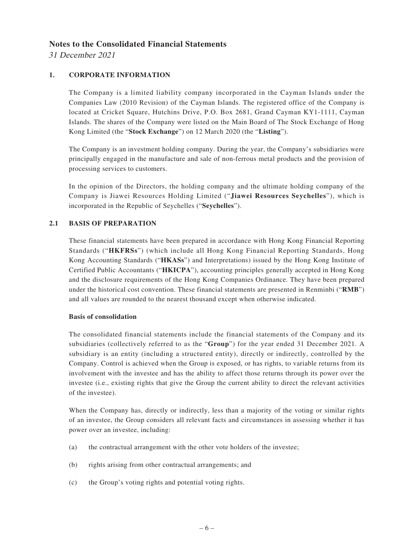#### **Notes to the Consolidated Financial Statements**

31 December 2021

#### **1. CORPORATE INFORMATION**

The Company is a limited liability company incorporated in the Cayman Islands under the Companies Law (2010 Revision) of the Cayman Islands. The registered office of the Company is located at Cricket Square, Hutchins Drive, P.O. Box 2681, Grand Cayman KY1-1111, Cayman Islands. The shares of the Company were listed on the Main Board of The Stock Exchange of Hong Kong Limited (the "**Stock Exchange**") on 12 March 2020 (the "**Listing**").

The Company is an investment holding company. During the year, the Company's subsidiaries were principally engaged in the manufacture and sale of non-ferrous metal products and the provision of processing services to customers.

In the opinion of the Directors, the holding company and the ultimate holding company of the Company is Jiawei Resources Holding Limited ("**Jiawei Resources Seychelles**"), which is incorporated in the Republic of Seychelles ("**Seychelles**").

#### **2.1 BASIS OF PREPARATION**

These financial statements have been prepared in accordance with Hong Kong Financial Reporting Standards ("**HKFRSs**") (which include all Hong Kong Financial Reporting Standards, Hong Kong Accounting Standards ("**HKASs**") and Interpretations) issued by the Hong Kong Institute of Certified Public Accountants ("**HKICPA**"), accounting principles generally accepted in Hong Kong and the disclosure requirements of the Hong Kong Companies Ordinance. They have been prepared under the historical cost convention. These financial statements are presented in Renminbi ("**RMB**") and all values are rounded to the nearest thousand except when otherwise indicated.

#### **Basis of consolidation**

The consolidated financial statements include the financial statements of the Company and its subsidiaries (collectively referred to as the "**Group**") for the year ended 31 December 2021. A subsidiary is an entity (including a structured entity), directly or indirectly, controlled by the Company. Control is achieved when the Group is exposed, or has rights, to variable returns from its involvement with the investee and has the ability to affect those returns through its power over the investee (i.e., existing rights that give the Group the current ability to direct the relevant activities of the investee).

When the Company has, directly or indirectly, less than a majority of the voting or similar rights of an investee, the Group considers all relevant facts and circumstances in assessing whether it has power over an investee, including:

- (a) the contractual arrangement with the other vote holders of the investee;
- (b) rights arising from other contractual arrangements; and
- (c) the Group's voting rights and potential voting rights.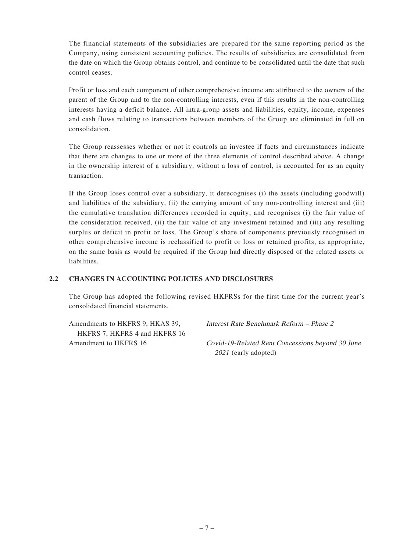The financial statements of the subsidiaries are prepared for the same reporting period as the Company, using consistent accounting policies. The results of subsidiaries are consolidated from the date on which the Group obtains control, and continue to be consolidated until the date that such control ceases.

Profit or loss and each component of other comprehensive income are attributed to the owners of the parent of the Group and to the non-controlling interests, even if this results in the non-controlling interests having a deficit balance. All intra-group assets and liabilities, equity, income, expenses and cash flows relating to transactions between members of the Group are eliminated in full on consolidation.

The Group reassesses whether or not it controls an investee if facts and circumstances indicate that there are changes to one or more of the three elements of control described above. A change in the ownership interest of a subsidiary, without a loss of control, is accounted for as an equity transaction.

If the Group loses control over a subsidiary, it derecognises (i) the assets (including goodwill) and liabilities of the subsidiary, (ii) the carrying amount of any non-controlling interest and (iii) the cumulative translation differences recorded in equity; and recognises (i) the fair value of the consideration received, (ii) the fair value of any investment retained and (iii) any resulting surplus or deficit in profit or loss. The Group's share of components previously recognised in other comprehensive income is reclassified to profit or loss or retained profits, as appropriate, on the same basis as would be required if the Group had directly disposed of the related assets or liabilities.

#### **2.2 CHANGES IN ACCOUNTING POLICIES AND DISCLOSURES**

The Group has adopted the following revised HKFRSs for the first time for the current year's consolidated financial statements.

Amendments to HKFRS 9, HKAS 39, HKFRS 7, HKFRS 4 and HKFRS 16 Interest Rate Benchmark Reform – Phase 2

Amendment to HKFRS 16 Covid-19-Related Rent Concessions beyond 30 June 2021 (early adopted)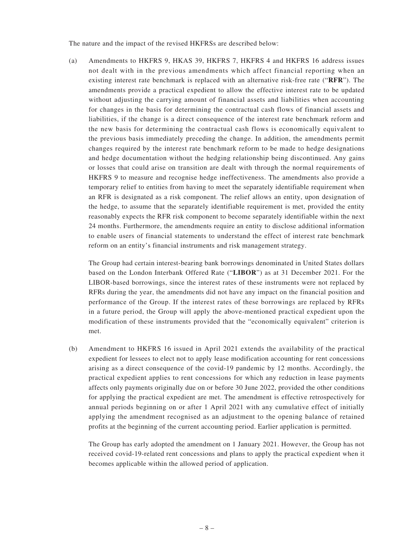The nature and the impact of the revised HKFRSs are described below:

(a) Amendments to HKFRS 9, HKAS 39, HKFRS 7, HKFRS 4 and HKFRS 16 address issues not dealt with in the previous amendments which affect financial reporting when an existing interest rate benchmark is replaced with an alternative risk-free rate ("**RFR**"). The amendments provide a practical expedient to allow the effective interest rate to be updated without adjusting the carrying amount of financial assets and liabilities when accounting for changes in the basis for determining the contractual cash flows of financial assets and liabilities, if the change is a direct consequence of the interest rate benchmark reform and the new basis for determining the contractual cash flows is economically equivalent to the previous basis immediately preceding the change. In addition, the amendments permit changes required by the interest rate benchmark reform to be made to hedge designations and hedge documentation without the hedging relationship being discontinued. Any gains or losses that could arise on transition are dealt with through the normal requirements of HKFRS 9 to measure and recognise hedge ineffectiveness. The amendments also provide a temporary relief to entities from having to meet the separately identifiable requirement when an RFR is designated as a risk component. The relief allows an entity, upon designation of the hedge, to assume that the separately identifiable requirement is met, provided the entity reasonably expects the RFR risk component to become separately identifiable within the next 24 months. Furthermore, the amendments require an entity to disclose additional information to enable users of financial statements to understand the effect of interest rate benchmark reform on an entity's financial instruments and risk management strategy.

The Group had certain interest-bearing bank borrowings denominated in United States dollars based on the London Interbank Offered Rate ("**LIBOR**") as at 31 December 2021. For the LIBOR-based borrowings, since the interest rates of these instruments were not replaced by RFRs during the year, the amendments did not have any impact on the financial position and performance of the Group. If the interest rates of these borrowings are replaced by RFRs in a future period, the Group will apply the above-mentioned practical expedient upon the modification of these instruments provided that the "economically equivalent" criterion is met.

(b) Amendment to HKFRS 16 issued in April 2021 extends the availability of the practical expedient for lessees to elect not to apply lease modification accounting for rent concessions arising as a direct consequence of the covid-19 pandemic by 12 months. Accordingly, the practical expedient applies to rent concessions for which any reduction in lease payments affects only payments originally due on or before 30 June 2022, provided the other conditions for applying the practical expedient are met. The amendment is effective retrospectively for annual periods beginning on or after 1 April 2021 with any cumulative effect of initially applying the amendment recognised as an adjustment to the opening balance of retained profits at the beginning of the current accounting period. Earlier application is permitted.

The Group has early adopted the amendment on 1 January 2021. However, the Group has not received covid-19-related rent concessions and plans to apply the practical expedient when it becomes applicable within the allowed period of application.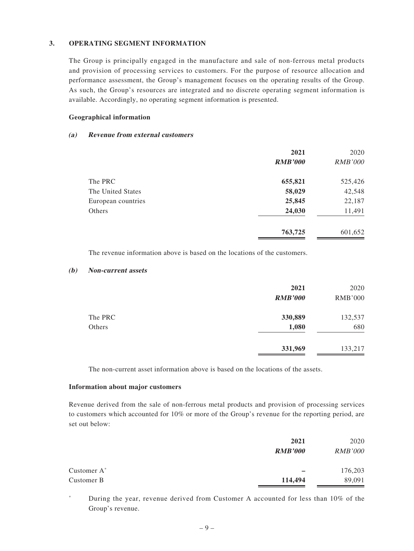#### **3. OPERATING SEGMENT INFORMATION**

The Group is principally engaged in the manufacture and sale of non-ferrous metal products and provision of processing services to customers. For the purpose of resource allocation and performance assessment, the Group's management focuses on the operating results of the Group. As such, the Group's resources are integrated and no discrete operating segment information is available. Accordingly, no operating segment information is presented.

#### **Geographical information**

#### **(a) Revenue from external customers**

|                    | 2021           | 2020           |
|--------------------|----------------|----------------|
|                    | <b>RMB'000</b> | <i>RMB'000</i> |
| The PRC            | 655,821        | 525,426        |
| The United States  | 58,029         | 42,548         |
| European countries | 25,845         | 22,187         |
| Others             | 24,030         | 11,491         |
|                    | 763,725        | 601,652        |

The revenue information above is based on the locations of the customers.

#### **(b) Non-current assets**

|         | 2021           | 2020           |
|---------|----------------|----------------|
|         | <b>RMB'000</b> | <b>RMB'000</b> |
| The PRC | 330,889        | 132,537        |
| Others  | 1,080          | 680            |
|         | 331,969        | 133,217        |

The non-current asset information above is based on the locations of the assets.

#### **Information about major customers**

Revenue derived from the sale of non-ferrous metal products and provision of processing services to customers which accounted for 10% or more of the Group's revenue for the reporting period, are set out below:

|                         | 2021           | 2020           |
|-------------------------|----------------|----------------|
|                         | <b>RMB'000</b> | <b>RMB'000</b> |
| Customer A <sup>*</sup> |                | 176,203        |
| Customer B              | 114,494        | 89,091         |

\* During the year, revenue derived from Customer A accounted for less than 10% of the Group's revenue.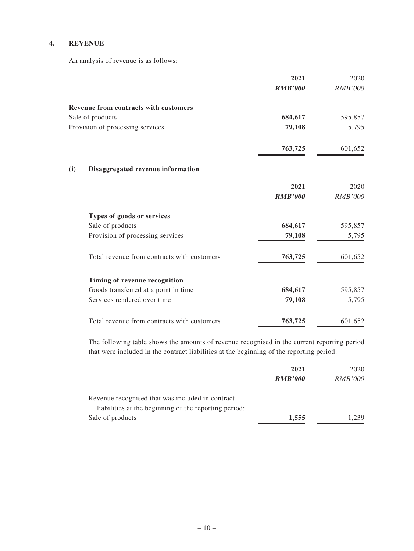#### **4. REVENUE**

An analysis of revenue is as follows:

|     |                                              | 2021           | 2020           |
|-----|----------------------------------------------|----------------|----------------|
|     |                                              | <b>RMB'000</b> | <b>RMB'000</b> |
|     | <b>Revenue from contracts with customers</b> |                |                |
|     | Sale of products                             | 684,617        | 595,857        |
|     | Provision of processing services             | 79,108         | 5,795          |
|     |                                              | 763,725        | 601,652        |
| (i) | Disaggregated revenue information            |                |                |
|     |                                              | 2021           | 2020           |
|     |                                              | <b>RMB'000</b> | <b>RMB'000</b> |
|     | Types of goods or services                   |                |                |
|     | Sale of products                             | 684,617        | 595,857        |
|     | Provision of processing services             | 79,108         | 5,795          |
|     | Total revenue from contracts with customers  | 763,725        | 601,652        |
|     | Timing of revenue recognition                |                |                |
|     | Goods transferred at a point in time         | 684,617        | 595,857        |
|     | Services rendered over time                  | 79,108         | 5,795          |
|     | Total revenue from contracts with customers  | 763,725        | 601,652        |

The following table shows the amounts of revenue recognised in the current reporting period that were included in the contract liabilities at the beginning of the reporting period:

|                                                       | 2021           | 2020           |
|-------------------------------------------------------|----------------|----------------|
|                                                       | <b>RMB'000</b> | <i>RMB'000</i> |
| Revenue recognised that was included in contract      |                |                |
| liabilities at the beginning of the reporting period: |                |                |
| Sale of products                                      | 1,555          | .239           |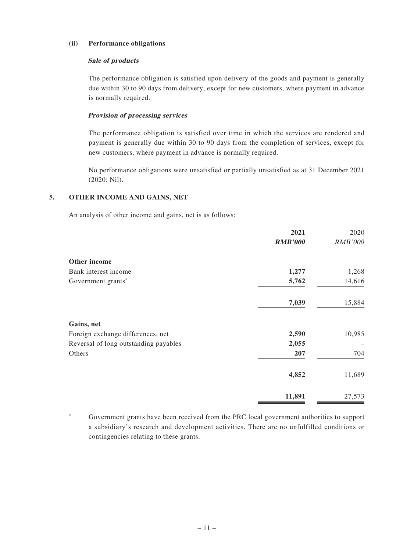#### **(ii) Performance obligations**

#### **Sale of products**

The performance obligation is satisfied upon delivery of the goods and payment is generally due within 30 to 90 days from delivery, except for new customers, where payment in advance is normally required.

#### **Provision of processing services**

The performance obligation is satisfied over time in which the services are rendered and payment is generally due within 30 to 90 days from the completion of services, except for new customers, where payment in advance is normally required.

No performance obligations were unsatisfied or partially unsatisfied as at 31 December 2021 (2020: Nil).

#### **5. OTHER INCOME AND GAINS, NET**

An analysis of other income and gains, net is as follows:

|                                       | 2021           | 2020           |
|---------------------------------------|----------------|----------------|
|                                       | <b>RMB'000</b> | <b>RMB'000</b> |
| Other income                          |                |                |
| Bank interest income                  | 1,277          | 1,268          |
| Government grants*                    | 5,762          | 14,616         |
|                                       | 7,039          | 15,884         |
| Gains, net                            |                |                |
| Foreign exchange differences, net     | 2,590          | 10,985         |
| Reversal of long outstanding payables | 2,055          |                |
| Others                                | 207            | 704            |
|                                       | 4,852          | 11,689         |
|                                       | 11,891         | 27,573         |

\* Government grants have been received from the PRC local government authorities to support a subsidiary's research and development activities. There are no unfulfilled conditions or contingencies relating to these grants.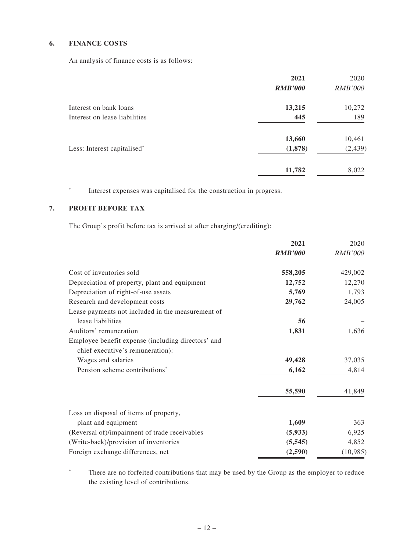#### **6. FINANCE COSTS**

An analysis of finance costs is as follows:

|                               | 2021           | 2020           |
|-------------------------------|----------------|----------------|
|                               | <b>RMB'000</b> | <i>RMB'000</i> |
| Interest on bank loans        | 13,215         | 10,272         |
| Interest on lease liabilities | 445            | 189            |
|                               | 13,660         | 10,461         |
| Less: Interest capitalised*   | (1,878)        | (2, 439)       |
|                               | 11,782         | 8,022          |

\* Interest expenses was capitalised for the construction in progress.

#### **7. PROFIT BEFORE TAX**

The Group's profit before tax is arrived at after charging/(crediting):

|                                                    | 2021           | 2020           |
|----------------------------------------------------|----------------|----------------|
|                                                    | <b>RMB'000</b> | <b>RMB'000</b> |
| Cost of inventories sold                           | 558,205        | 429,002        |
| Depreciation of property, plant and equipment      | 12,752         | 12,270         |
| Depreciation of right-of-use assets                | 5,769          | 1,793          |
| Research and development costs                     | 29,762         | 24,005         |
| Lease payments not included in the measurement of  |                |                |
| lease liabilities                                  | 56             |                |
| Auditors' remuneration                             | 1,831          | 1,636          |
| Employee benefit expense (including directors' and |                |                |
| chief executive's remuneration):                   |                |                |
| Wages and salaries                                 | 49,428         | 37,035         |
| Pension scheme contributions <sup>*</sup>          | 6,162          | 4,814          |
|                                                    | 55,590         | 41,849         |
| Loss on disposal of items of property,             |                |                |
| plant and equipment                                | 1,609          | 363            |
| (Reversal of)/impairment of trade receivables      | (5,933)        | 6,925          |
| (Write-back)/provision of inventories              | (5, 545)       | 4,852          |
| Foreign exchange differences, net                  | (2,590)        | (10, 985)      |

\* There are no forfeited contributions that may be used by the Group as the employer to reduce the existing level of contributions.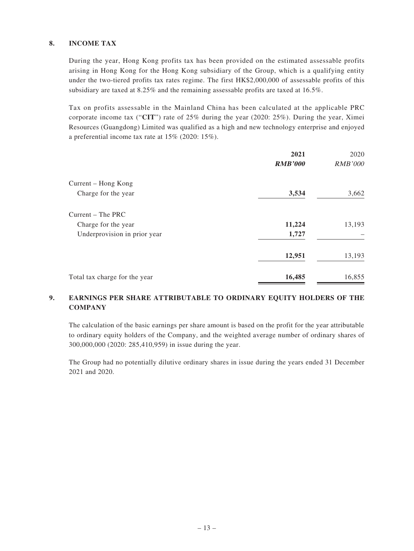#### **8. INCOME TAX**

During the year, Hong Kong profits tax has been provided on the estimated assessable profits arising in Hong Kong for the Hong Kong subsidiary of the Group, which is a qualifying entity under the two-tiered profits tax rates regime. The first HK\$2,000,000 of assessable profits of this subsidiary are taxed at 8.25% and the remaining assessable profits are taxed at 16.5%.

Tax on profits assessable in the Mainland China has been calculated at the applicable PRC corporate income tax ("**CIT**") rate of 25% during the year (2020: 25%). During the year, Ximei Resources (Guangdong) Limited was qualified as a high and new technology enterprise and enjoyed a preferential income tax rate at 15% (2020: 15%).

|                               | 2021           | 2020           |
|-------------------------------|----------------|----------------|
|                               | <b>RMB'000</b> | <i>RMB'000</i> |
| Current – Hong Kong           |                |                |
| Charge for the year           | 3,534          | 3,662          |
| $Current - The PRC$           |                |                |
| Charge for the year           | 11,224         | 13,193         |
| Underprovision in prior year  | 1,727          |                |
|                               | 12,951         | 13,193         |
| Total tax charge for the year | 16,485         | 16,855         |

#### **9. EARNINGS PER SHARE ATTRIBUTABLE TO ORDINARY EQUITY HOLDERS OF THE COMPANY**

The calculation of the basic earnings per share amount is based on the profit for the year attributable to ordinary equity holders of the Company, and the weighted average number of ordinary shares of 300,000,000 (2020: 285,410,959) in issue during the year.

The Group had no potentially dilutive ordinary shares in issue during the years ended 31 December 2021 and 2020.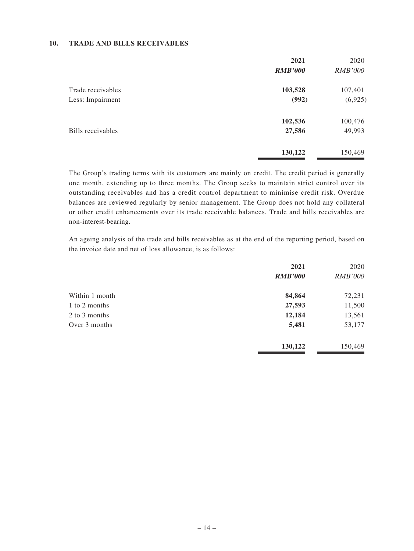#### **10. TRADE AND BILLS RECEIVABLES**

|                   | 2021           | 2020           |
|-------------------|----------------|----------------|
|                   | <b>RMB'000</b> | <i>RMB'000</i> |
| Trade receivables | 103,528        | 107,401        |
| Less: Impairment  | (992)          | (6,925)        |
|                   | 102,536        | 100,476        |
| Bills receivables | 27,586         | 49,993         |
|                   | 130,122        | 150,469        |

The Group's trading terms with its customers are mainly on credit. The credit period is generally one month, extending up to three months. The Group seeks to maintain strict control over its outstanding receivables and has a credit control department to minimise credit risk. Overdue balances are reviewed regularly by senior management. The Group does not hold any collateral or other credit enhancements over its trade receivable balances. Trade and bills receivables are non-interest-bearing.

An ageing analysis of the trade and bills receivables as at the end of the reporting period, based on the invoice date and net of loss allowance, is as follows:

|                | 2021           | 2020           |
|----------------|----------------|----------------|
|                | <b>RMB'000</b> | <i>RMB'000</i> |
| Within 1 month | 84,864         | 72,231         |
| 1 to 2 months  | 27,593         | 11,500         |
| 2 to 3 months  | 12,184         | 13,561         |
| Over 3 months  | 5,481          | 53,177         |
|                | 130,122        | 150,469        |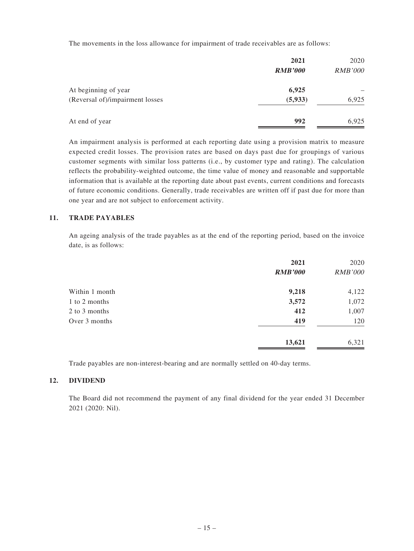The movements in the loss allowance for impairment of trade receivables are as follows:

|                                 | 2021<br><b>RMB'000</b> | 2020<br><i>RMB'000</i> |
|---------------------------------|------------------------|------------------------|
| At beginning of year            | 6,925                  |                        |
| (Reversal of)/impairment losses | (5, 933)               | 6,925                  |
| At end of year                  | 992                    | 6,925                  |

An impairment analysis is performed at each reporting date using a provision matrix to measure expected credit losses. The provision rates are based on days past due for groupings of various customer segments with similar loss patterns (i.e., by customer type and rating). The calculation reflects the probability-weighted outcome, the time value of money and reasonable and supportable information that is available at the reporting date about past events, current conditions and forecasts of future economic conditions. Generally, trade receivables are written off if past due for more than one year and are not subject to enforcement activity.

#### **11. TRADE PAYABLES**

An ageing analysis of the trade payables as at the end of the reporting period, based on the invoice date, is as follows:

|                | 2021           | 2020           |
|----------------|----------------|----------------|
|                | <b>RMB'000</b> | <b>RMB'000</b> |
| Within 1 month | 9,218          | 4,122          |
| 1 to 2 months  | 3,572          | 1,072          |
| 2 to 3 months  | 412            | 1,007          |
| Over 3 months  | 419            | 120            |
|                | 13,621         | 6,321          |

Trade payables are non-interest-bearing and are normally settled on 40-day terms.

#### **12. DIVIDEND**

The Board did not recommend the payment of any final dividend for the year ended 31 December 2021 (2020: Nil).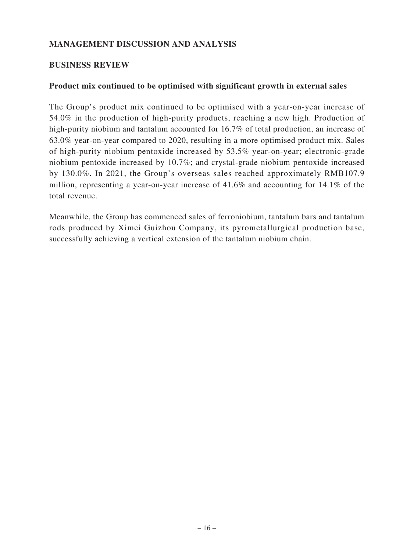## **MANAGEMENT DISCUSSION AND ANALYSIS**

#### **BUSINESS REVIEW**

#### **Product mix continued to be optimised with significant growth in external sales**

The Group's product mix continued to be optimised with a year-on-year increase of 54.0% in the production of high-purity products, reaching a new high. Production of high-purity niobium and tantalum accounted for 16.7% of total production, an increase of 63.0% year-on-year compared to 2020, resulting in a more optimised product mix. Sales of high-purity niobium pentoxide increased by 53.5% year-on-year; electronic-grade niobium pentoxide increased by 10.7%; and crystal-grade niobium pentoxide increased by 130.0%. In 2021, the Group's overseas sales reached approximately RMB107.9 million, representing a year-on-year increase of 41.6% and accounting for 14.1% of the total revenue.

Meanwhile, the Group has commenced sales of ferroniobium, tantalum bars and tantalum rods produced by Ximei Guizhou Company, its pyrometallurgical production base, successfully achieving a vertical extension of the tantalum niobium chain.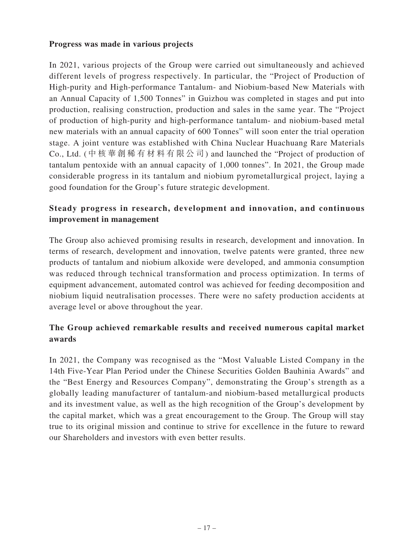#### **Progress was made in various projects**

In 2021, various projects of the Group were carried out simultaneously and achieved different levels of progress respectively. In particular, the "Project of Production of High-purity and High-performance Tantalum- and Niobium-based New Materials with an Annual Capacity of 1,500 Tonnes" in Guizhou was completed in stages and put into production, realising construction, production and sales in the same year. The "Project of production of high-purity and high-performance tantalum- and niobium-based metal new materials with an annual capacity of 600 Tonnes" will soon enter the trial operation stage. A joint venture was established with China Nuclear Huachuang Rare Materials Co., Ltd. (中核華創稀有材料有限公司) and launched the "Project of production of tantalum pentoxide with an annual capacity of 1,000 tonnes". In 2021, the Group made considerable progress in its tantalum and niobium pyrometallurgical project, laying a good foundation for the Group's future strategic development.

## **Steady progress in research, development and innovation, and continuous improvement in management**

The Group also achieved promising results in research, development and innovation. In terms of research, development and innovation, twelve patents were granted, three new products of tantalum and niobium alkoxide were developed, and ammonia consumption was reduced through technical transformation and process optimization. In terms of equipment advancement, automated control was achieved for feeding decomposition and niobium liquid neutralisation processes. There were no safety production accidents at average level or above throughout the year.

## **The Group achieved remarkable results and received numerous capital market awards**

In 2021, the Company was recognised as the "Most Valuable Listed Company in the 14th Five-Year Plan Period under the Chinese Securities Golden Bauhinia Awards" and the "Best Energy and Resources Company", demonstrating the Group's strength as a globally leading manufacturer of tantalum-and niobium-based metallurgical products and its investment value, as well as the high recognition of the Group's development by the capital market, which was a great encouragement to the Group. The Group will stay true to its original mission and continue to strive for excellence in the future to reward our Shareholders and investors with even better results.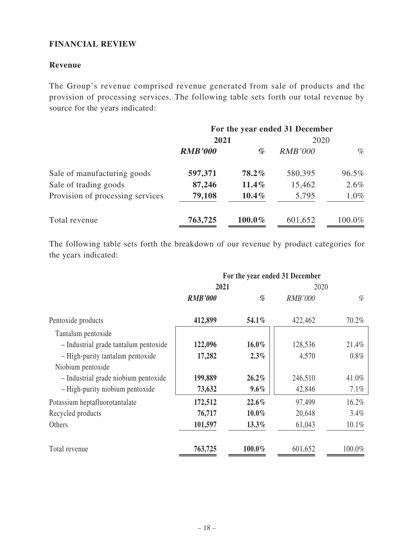### **FINANCIAL REVIEW**

#### **Revenue**

The Group's revenue comprised revenue generated from sale of products and the provision of processing services. The following table sets forth our total revenue by source for the years indicated:

|                                  | For the year ended 31 December |          |                |        |
|----------------------------------|--------------------------------|----------|----------------|--------|
|                                  | 2021                           |          | 2020           |        |
|                                  | <b>RMB'000</b>                 | %        | <b>RMB'000</b> | $\%$   |
| Sale of manufacturing goods      | 597,371                        | $78.2\%$ | 580,395        | 96.5%  |
| Sale of trading goods            | 87,246                         | 11.4%    | 15,462         | 2.6%   |
| Provision of processing services | 79,108                         | $10.4\%$ | 5,795          | 1.0%   |
| Total revenue                    | 763,725                        | 100.0%   | 601,652        | 100.0% |

The following table sets forth the breakdown of our revenue by product categories for the years indicated:

|                                       | For the year ended 31 December |          |                |          |
|---------------------------------------|--------------------------------|----------|----------------|----------|
|                                       | 2021                           |          | 2020           |          |
|                                       | <b>RMB'000</b>                 | %        | <i>RMB'000</i> | %        |
| Pentoxide products                    | 412,899                        | 54.1%    | 422,462        | 70.2%    |
| Tantalum pentoxide                    |                                |          |                |          |
| - Industrial grade tantalum pentoxide | 122,096                        | $16.0\%$ | 128,536        | 21.4%    |
| - High-purity tantalum pentoxide      | 17,282                         | $2.3\%$  | 4,570          | $0.8\%$  |
| Niobium pentoxide                     |                                |          |                |          |
| - Industrial grade niobium pentoxide  | 199,889                        | $26.2\%$ | 246,510        | 41.0%    |
| - High-purity niobium pentoxide       | 73,632                         | $9.6\%$  | 42,846         | $7.1\%$  |
| Potassium heptafluorotantalate        | 172,512                        | 22.6%    | 97,499         | 16.2%    |
| Recycled products                     | 76,717                         | $10.0\%$ | 20,648         | 3.4%     |
| Others                                | 101,597                        | 13.3%    | 61,043         | $10.1\%$ |
| Total revenue                         | 763,725                        | 100.0%   | 601,652        | 100.0%   |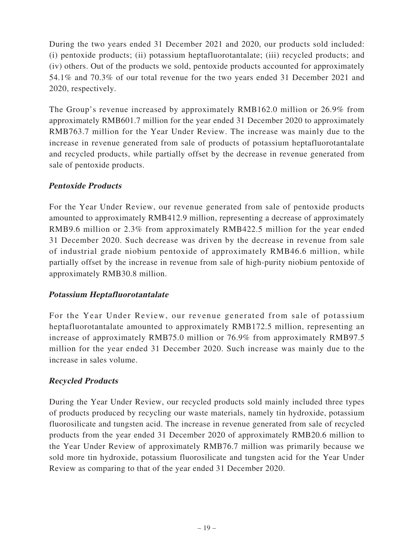During the two years ended 31 December 2021 and 2020, our products sold included: (i) pentoxide products; (ii) potassium heptafluorotantalate; (iii) recycled products; and (iv) others. Out of the products we sold, pentoxide products accounted for approximately 54.1% and 70.3% of our total revenue for the two years ended 31 December 2021 and 2020, respectively.

The Group's revenue increased by approximately RMB162.0 million or 26.9% from approximately RMB601.7 million for the year ended 31 December 2020 to approximately RMB763.7 million for the Year Under Review. The increase was mainly due to the increase in revenue generated from sale of products of potassium heptafluorotantalate and recycled products, while partially offset by the decrease in revenue generated from sale of pentoxide products.

## **Pentoxide Products**

For the Year Under Review, our revenue generated from sale of pentoxide products amounted to approximately RMB412.9 million, representing a decrease of approximately RMB9.6 million or 2.3% from approximately RMB422.5 million for the year ended 31 December 2020. Such decrease was driven by the decrease in revenue from sale of industrial grade niobium pentoxide of approximately RMB46.6 million, while partially offset by the increase in revenue from sale of high-purity niobium pentoxide of approximately RMB30.8 million.

### **Potassium Heptafluorotantalate**

For the Year Under Review, our revenue generated from sale of potassium heptafluorotantalate amounted to approximately RMB172.5 million, representing an increase of approximately RMB75.0 million or 76.9% from approximately RMB97.5 million for the year ended 31 December 2020. Such increase was mainly due to the increase in sales volume.

## **Recycled Products**

During the Year Under Review, our recycled products sold mainly included three types of products produced by recycling our waste materials, namely tin hydroxide, potassium fluorosilicate and tungsten acid. The increase in revenue generated from sale of recycled products from the year ended 31 December 2020 of approximately RMB20.6 million to the Year Under Review of approximately RMB76.7 million was primarily because we sold more tin hydroxide, potassium fluorosilicate and tungsten acid for the Year Under Review as comparing to that of the year ended 31 December 2020.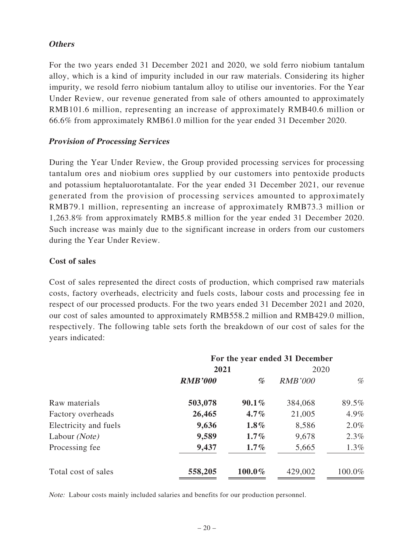### **Others**

For the two years ended 31 December 2021 and 2020, we sold ferro niobium tantalum alloy, which is a kind of impurity included in our raw materials. Considering its higher impurity, we resold ferro niobium tantalum alloy to utilise our inventories. For the Year Under Review, our revenue generated from sale of others amounted to approximately RMB101.6 million, representing an increase of approximately RMB40.6 million or 66.6% from approximately RMB61.0 million for the year ended 31 December 2020.

### **Provision of Processing Services**

During the Year Under Review, the Group provided processing services for processing tantalum ores and niobium ores supplied by our customers into pentoxide products and potassium heptaluorotantalate. For the year ended 31 December 2021, our revenue generated from the provision of processing services amounted to approximately RMB79.1 million, representing an increase of approximately RMB73.3 million or 1,263.8% from approximately RMB5.8 million for the year ended 31 December 2020. Such increase was mainly due to the significant increase in orders from our customers during the Year Under Review.

### **Cost of sales**

Cost of sales represented the direct costs of production, which comprised raw materials costs, factory overheads, electricity and fuels costs, labour costs and processing fee in respect of our processed products. For the two years ended 31 December 2021 and 2020, our cost of sales amounted to approximately RMB558.2 million and RMB429.0 million, respectively. The following table sets forth the breakdown of our cost of sales for the years indicated:

|                        | For the year ended 31 December |          |                |         |
|------------------------|--------------------------------|----------|----------------|---------|
|                        | 2021                           |          | 2020           |         |
|                        | <b>RMB'000</b>                 | %        | <b>RMB'000</b> | %       |
| Raw materials          | 503,078                        | $90.1\%$ | 384,068        | 89.5%   |
| Factory overheads      | 26,465                         | $4.7\%$  | 21,005         | 4.9%    |
| Electricity and fuels  | 9,636                          | $1.8\%$  | 8,586          | $2.0\%$ |
| Labour ( <i>Note</i> ) | 9,589                          | $1.7\%$  | 9,678          | 2.3%    |
| Processing fee         | 9,437                          | $1.7\%$  | 5,665          | $1.3\%$ |
| Total cost of sales    | 558,205                        | 100.0%   | 429,002        | 100.0%  |

Note: Labour costs mainly included salaries and benefits for our production personnel.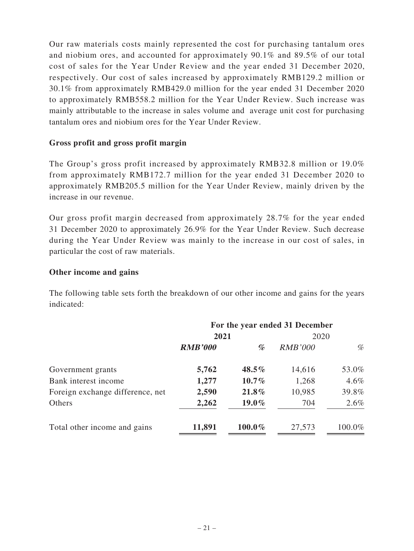Our raw materials costs mainly represented the cost for purchasing tantalum ores and niobium ores, and accounted for approximately 90.1% and 89.5% of our total cost of sales for the Year Under Review and the year ended 31 December 2020, respectively. Our cost of sales increased by approximately RMB129.2 million or 30.1% from approximately RMB429.0 million for the year ended 31 December 2020 to approximately RMB558.2 million for the Year Under Review. Such increase was mainly attributable to the increase in sales volume and average unit cost for purchasing tantalum ores and niobium ores for the Year Under Review.

### **Gross profit and gross profit margin**

The Group's gross profit increased by approximately RMB32.8 million or 19.0% from approximately RMB172.7 million for the year ended 31 December 2020 to approximately RMB205.5 million for the Year Under Review, mainly driven by the increase in our revenue.

Our gross profit margin decreased from approximately 28.7% for the year ended 31 December 2020 to approximately 26.9% for the Year Under Review. Such decrease during the Year Under Review was mainly to the increase in our cost of sales, in particular the cost of raw materials.

## **Other income and gains**

The following table sets forth the breakdown of our other income and gains for the years indicated:

|                                  | For the year ended 31 December |          |                |         |
|----------------------------------|--------------------------------|----------|----------------|---------|
|                                  | 2021                           |          | 2020           |         |
|                                  | <b>RMB'000</b>                 | %        | <i>RMB'000</i> | %       |
| Government grants                | 5,762                          | $48.5\%$ | 14,616         | 53.0%   |
| Bank interest income             | 1,277                          | $10.7\%$ | 1,268          | $4.6\%$ |
| Foreign exchange difference, net | 2,590                          | 21.8%    | 10,985         | 39.8%   |
| Others                           | 2,262                          | $19.0\%$ | 704            | 2.6%    |
| Total other income and gains     | 11,891                         | 100.0%   | 27,573         | 100.0%  |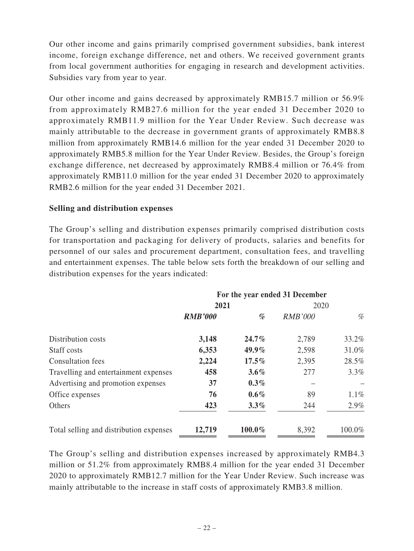Our other income and gains primarily comprised government subsidies, bank interest income, foreign exchange difference, net and others. We received government grants from local government authorities for engaging in research and development activities. Subsidies vary from year to year.

Our other income and gains decreased by approximately RMB15.7 million or 56.9% from approximately RMB27.6 million for the year ended 31 December 2020 to approximately RMB11.9 million for the Year Under Review. Such decrease was mainly attributable to the decrease in government grants of approximately RMB8.8 million from approximately RMB14.6 million for the year ended 31 December 2020 to approximately RMB5.8 million for the Year Under Review. Besides, the Group's foreign exchange difference, net decreased by approximately RMB8.4 million or 76.4% from approximately RMB11.0 million for the year ended 31 December 2020 to approximately RMB2.6 million for the year ended 31 December 2021.

#### **Selling and distribution expenses**

The Group's selling and distribution expenses primarily comprised distribution costs for transportation and packaging for delivery of products, salaries and benefits for personnel of our sales and procurement department, consultation fees, and travelling and entertainment expenses. The table below sets forth the breakdown of our selling and distribution expenses for the years indicated:

|                                         | For the year ended 31 December |          |                |         |
|-----------------------------------------|--------------------------------|----------|----------------|---------|
|                                         | 2021                           |          | 2020           |         |
|                                         | <b>RMB'000</b>                 | %        | <b>RMB'000</b> | %       |
| Distribution costs                      | 3,148                          | $24.7\%$ | 2,789          | 33.2%   |
| Staff costs                             | 6,353                          | $49.9\%$ | 2,598          | 31.0%   |
| <b>Consultation fees</b>                | 2,224                          | $17.5\%$ | 2,395          | 28.5%   |
| Travelling and entertainment expenses   | 458                            | $3.6\%$  | 277            | $3.3\%$ |
| Advertising and promotion expenses      | 37                             | $0.3\%$  |                |         |
| Office expenses                         | 76                             | $0.6\%$  | 89             | $1.1\%$ |
| Others                                  | 423                            | $3.3\%$  | 244            | $2.9\%$ |
| Total selling and distribution expenses | 12,719                         | 100.0%   | 8,392          | 100.0%  |

The Group's selling and distribution expenses increased by approximately RMB4.3 million or 51.2% from approximately RMB8.4 million for the year ended 31 December 2020 to approximately RMB12.7 million for the Year Under Review. Such increase was mainly attributable to the increase in staff costs of approximately RMB3.8 million.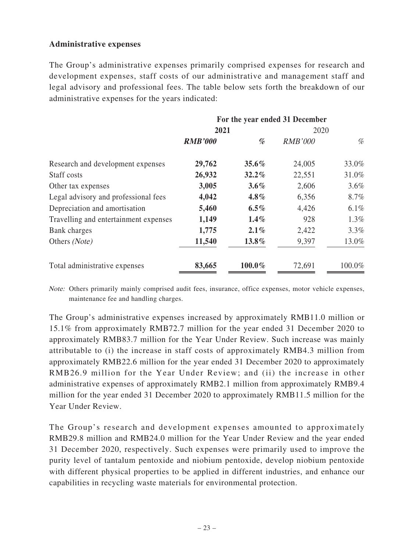### **Administrative expenses**

The Group's administrative expenses primarily comprised expenses for research and development expenses, staff costs of our administrative and management staff and legal advisory and professional fees. The table below sets forth the breakdown of our administrative expenses for the years indicated:

|                                       | For the year ended 31 December |          |                |         |
|---------------------------------------|--------------------------------|----------|----------------|---------|
|                                       | 2021                           |          | 2020           |         |
|                                       | <b>RMB'000</b>                 | %        | <b>RMB'000</b> | %       |
| Research and development expenses     | 29,762                         | $35.6\%$ | 24,005         | 33.0%   |
| Staff costs                           | 26,932                         | $32.2\%$ | 22,551         | 31.0%   |
| Other tax expenses                    | 3,005                          | $3.6\%$  | 2,606          | $3.6\%$ |
| Legal advisory and professional fees  | 4,042                          | $4.8\%$  | 6,356          | 8.7%    |
| Depreciation and amortisation         | 5,460                          | $6.5\%$  | 4,426          | 6.1%    |
| Travelling and entertainment expenses | 1,149                          | $1.4\%$  | 928            | $1.3\%$ |
| Bank charges                          | 1,775                          | $2.1\%$  | 2,422          | 3.3%    |
| Others (Note)                         | 11,540                         | $13.8\%$ | 9,397          | 13.0%   |
| Total administrative expenses         | 83,665                         | 100.0%   | 72,691         | 100.0%  |

Note: Others primarily mainly comprised audit fees, insurance, office expenses, motor vehicle expenses, maintenance fee and handling charges.

The Group's administrative expenses increased by approximately RMB11.0 million or 15.1% from approximately RMB72.7 million for the year ended 31 December 2020 to approximately RMB83.7 million for the Year Under Review. Such increase was mainly attributable to (i) the increase in staff costs of approximately RMB4.3 million from approximately RMB22.6 million for the year ended 31 December 2020 to approximately RMB26.9 million for the Year Under Review; and (ii) the increase in other administrative expenses of approximately RMB2.1 million from approximately RMB9.4 million for the year ended 31 December 2020 to approximately RMB11.5 million for the Year Under Review.

The Group's research and development expenses amounted to approximately RMB29.8 million and RMB24.0 million for the Year Under Review and the year ended 31 December 2020, respectively. Such expenses were primarily used to improve the purity level of tantalum pentoxide and niobium pentoxide, develop niobium pentoxide with different physical properties to be applied in different industries, and enhance our capabilities in recycling waste materials for environmental protection.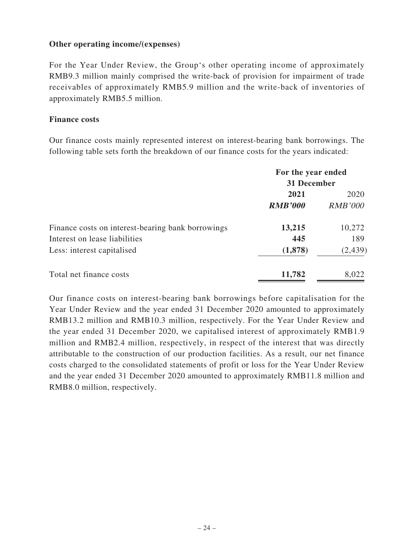### **Other operating income/(expenses)**

For the Year Under Review, the Group's other operating income of approximately RMB9.3 million mainly comprised the write-back of provision for impairment of trade receivables of approximately RMB5.9 million and the write-back of inventories of approximately RMB5.5 million.

#### **Finance costs**

Our finance costs mainly represented interest on interest-bearing bank borrowings. The following table sets forth the breakdown of our finance costs for the years indicated:

|                                                   | For the year ended |                |  |
|---------------------------------------------------|--------------------|----------------|--|
|                                                   | 31 December        |                |  |
|                                                   | 2021               | 2020           |  |
|                                                   | <b>RMB'000</b>     | <i>RMB'000</i> |  |
| Finance costs on interest-bearing bank borrowings | 13,215             | 10,272         |  |
| Interest on lease liabilities                     | 445                | 189            |  |
| Less: interest capitalised                        | (1,878)            | (2, 439)       |  |
| Total net finance costs                           | 11,782             | 8,022          |  |

Our finance costs on interest-bearing bank borrowings before capitalisation for the Year Under Review and the year ended 31 December 2020 amounted to approximately RMB13.2 million and RMB10.3 million, respectively. For the Year Under Review and the year ended 31 December 2020, we capitalised interest of approximately RMB1.9 million and RMB2.4 million, respectively, in respect of the interest that was directly attributable to the construction of our production facilities. As a result, our net finance costs charged to the consolidated statements of profit or loss for the Year Under Review and the year ended 31 December 2020 amounted to approximately RMB11.8 million and RMB8.0 million, respectively.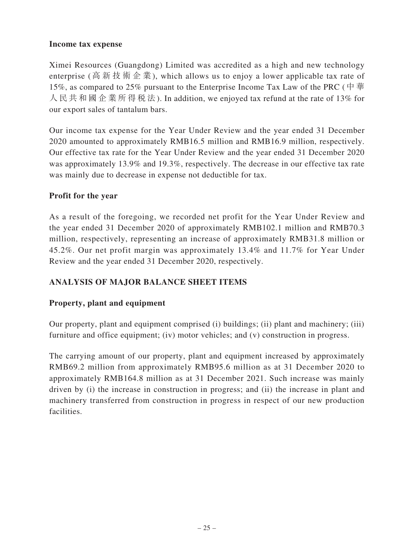### **Income tax expense**

Ximei Resources (Guangdong) Limited was accredited as a high and new technology enterprise (高新技術企業), which allows us to enjoy a lower applicable tax rate of 15%, as compared to 25% pursuant to the Enterprise Income Tax Law of the PRC ( $\dot{\mathcal{F}}$   $\dot{\mathcal{F}}$ 人民共和國企業所得稅法). In addition, we enjoyed tax refund at the rate of 13% for our export sales of tantalum bars.

Our income tax expense for the Year Under Review and the year ended 31 December 2020 amounted to approximately RMB16.5 million and RMB16.9 million, respectively. Our effective tax rate for the Year Under Review and the year ended 31 December 2020 was approximately 13.9% and 19.3%, respectively. The decrease in our effective tax rate was mainly due to decrease in expense not deductible for tax.

## **Profit for the year**

As a result of the foregoing, we recorded net profit for the Year Under Review and the year ended 31 December 2020 of approximately RMB102.1 million and RMB70.3 million, respectively, representing an increase of approximately RMB31.8 million or 45.2%. Our net profit margin was approximately 13.4% and 11.7% for Year Under Review and the year ended 31 December 2020, respectively.

## **ANALYSIS OF MAJOR BALANCE SHEET ITEMS**

## **Property, plant and equipment**

Our property, plant and equipment comprised (i) buildings; (ii) plant and machinery; (iii) furniture and office equipment; (iv) motor vehicles; and (v) construction in progress.

The carrying amount of our property, plant and equipment increased by approximately RMB69.2 million from approximately RMB95.6 million as at 31 December 2020 to approximately RMB164.8 million as at 31 December 2021. Such increase was mainly driven by (i) the increase in construction in progress; and (ii) the increase in plant and machinery transferred from construction in progress in respect of our new production facilities.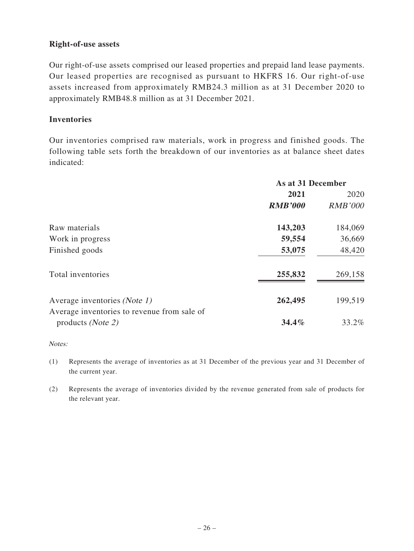### **Right-of-use assets**

Our right-of-use assets comprised our leased properties and prepaid land lease payments. Our leased properties are recognised as pursuant to HKFRS 16. Our right-of-use assets increased from approximately RMB24.3 million as at 31 December 2020 to approximately RMB48.8 million as at 31 December 2021.

### **Inventories**

Our inventories comprised raw materials, work in progress and finished goods. The following table sets forth the breakdown of our inventories as at balance sheet dates indicated:

|                                                                           | As at 31 December |                |
|---------------------------------------------------------------------------|-------------------|----------------|
|                                                                           | 2021              | 2020           |
|                                                                           | <b>RMB'000</b>    | <b>RMB'000</b> |
| Raw materials                                                             | 143,203           | 184,069        |
| Work in progress                                                          | 59,554            | 36,669         |
| Finished goods                                                            | 53,075            | 48,420         |
| Total inventories                                                         | 255,832           | 269,158        |
| Average inventories (Note 1)                                              | 262,495           | 199,519        |
| Average inventories to revenue from sale of<br>products ( <i>Note 2</i> ) | $34.4\%$          | 33.2%          |

#### Notes:

(1) Represents the average of inventories as at 31 December of the previous year and 31 December of the current year.

(2) Represents the average of inventories divided by the revenue generated from sale of products for the relevant year.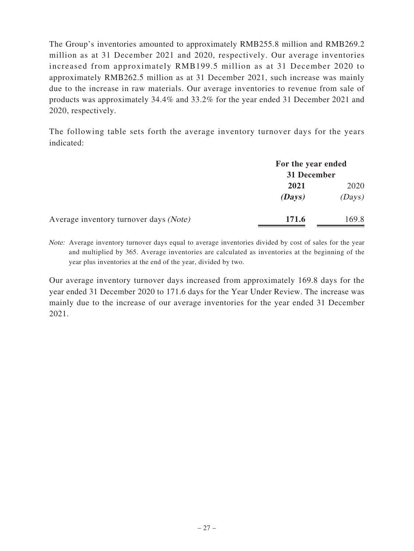The Group's inventories amounted to approximately RMB255.8 million and RMB269.2 million as at 31 December 2021 and 2020, respectively. Our average inventories increased from approximately RMB199.5 million as at 31 December 2020 to approximately RMB262.5 million as at 31 December 2021, such increase was mainly due to the increase in raw materials. Our average inventories to revenue from sale of products was approximately 34.4% and 33.2% for the year ended 31 December 2021 and 2020, respectively.

The following table sets forth the average inventory turnover days for the years indicated:

|                                        | For the year ended<br>31 December |        |
|----------------------------------------|-----------------------------------|--------|
|                                        |                                   |        |
|                                        | 2021                              | 2020   |
|                                        | (Days)                            | (Days) |
| Average inventory turnover days (Note) | 171.6                             | 169.8  |

Note: Average inventory turnover days equal to average inventories divided by cost of sales for the year and multiplied by 365. Average inventories are calculated as inventories at the beginning of the year plus inventories at the end of the year, divided by two.

Our average inventory turnover days increased from approximately 169.8 days for the year ended 31 December 2020 to 171.6 days for the Year Under Review. The increase was mainly due to the increase of our average inventories for the year ended 31 December 2021.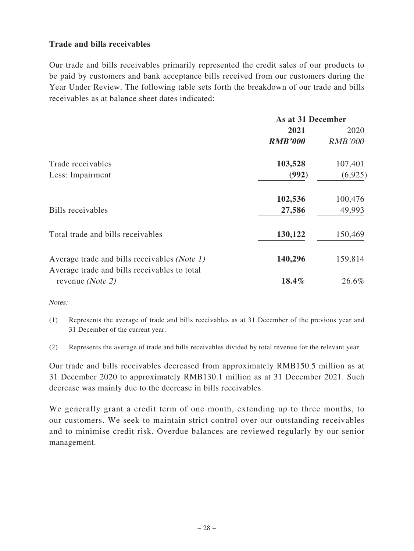### **Trade and bills receivables**

Our trade and bills receivables primarily represented the credit sales of our products to be paid by customers and bank acceptance bills received from our customers during the Year Under Review. The following table sets forth the breakdown of our trade and bills receivables as at balance sheet dates indicated:

|                                                                  | As at 31 December |                |
|------------------------------------------------------------------|-------------------|----------------|
|                                                                  | 2021              | 2020           |
|                                                                  | <b>RMB'000</b>    | <b>RMB'000</b> |
| Trade receivables                                                | 103,528           | 107,401        |
| Less: Impairment                                                 | (992)             | (6,925)        |
|                                                                  | 102,536           | 100,476        |
| Bills receivables                                                | 27,586            | 49,993         |
| Total trade and bills receivables                                | 130,122           | 150,469        |
| Average trade and bills receivables (Note 1)                     | 140,296           | 159,814        |
| Average trade and bills receivables to total<br>revenue (Note 2) | 18.4%             | 26.6%          |

Notes:

(1) Represents the average of trade and bills receivables as at 31 December of the previous year and 31 December of the current year.

(2) Represents the average of trade and bills receivables divided by total revenue for the relevant year.

Our trade and bills receivables decreased from approximately RMB150.5 million as at 31 December 2020 to approximately RMB130.1 million as at 31 December 2021. Such decrease was mainly due to the decrease in bills receivables.

We generally grant a credit term of one month, extending up to three months, to our customers. We seek to maintain strict control over our outstanding receivables and to minimise credit risk. Overdue balances are reviewed regularly by our senior management.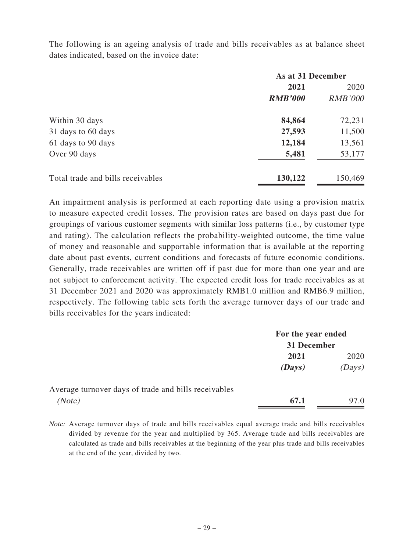The following is an ageing analysis of trade and bills receivables as at balance sheet dates indicated, based on the invoice date:

|                                   | As at 31 December |                |
|-----------------------------------|-------------------|----------------|
|                                   | 2021              | 2020           |
|                                   | <b>RMB'000</b>    | <b>RMB'000</b> |
| Within 30 days                    | 84,864            | 72,231         |
| 31 days to 60 days                | 27,593            | 11,500         |
| 61 days to 90 days                | 12,184            | 13,561         |
| Over 90 days                      | 5,481             | 53,177         |
| Total trade and bills receivables | 130,122           | 150,469        |

An impairment analysis is performed at each reporting date using a provision matrix to measure expected credit losses. The provision rates are based on days past due for groupings of various customer segments with similar loss patterns (i.e., by customer type and rating). The calculation reflects the probability-weighted outcome, the time value of money and reasonable and supportable information that is available at the reporting date about past events, current conditions and forecasts of future economic conditions. Generally, trade receivables are written off if past due for more than one year and are not subject to enforcement activity. The expected credit loss for trade receivables as at 31 December 2021 and 2020 was approximately RMB1.0 million and RMB6.9 million, respectively. The following table sets forth the average turnover days of our trade and bills receivables for the years indicated:

|                                                      | For the year ended |        |
|------------------------------------------------------|--------------------|--------|
|                                                      | 31 December        |        |
|                                                      | 2021               | 2020   |
|                                                      | (Days)             | (Days) |
| Average turnover days of trade and bills receivables |                    |        |
| (Note)                                               | 67.1               | 97.0   |

Note: Average turnover days of trade and bills receivables equal average trade and bills receivables divided by revenue for the year and multiplied by 365. Average trade and bills receivables are calculated as trade and bills receivables at the beginning of the year plus trade and bills receivables at the end of the year, divided by two.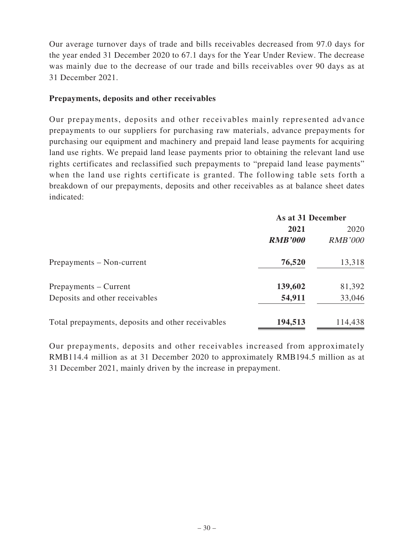Our average turnover days of trade and bills receivables decreased from 97.0 days for the year ended 31 December 2020 to 67.1 days for the Year Under Review. The decrease was mainly due to the decrease of our trade and bills receivables over 90 days as at 31 December 2021.

#### **Prepayments, deposits and other receivables**

Our prepayments, deposits and other receivables mainly represented advance prepayments to our suppliers for purchasing raw materials, advance prepayments for purchasing our equipment and machinery and prepaid land lease payments for acquiring land use rights. We prepaid land lease payments prior to obtaining the relevant land use rights certificates and reclassified such prepayments to "prepaid land lease payments" when the land use rights certificate is granted. The following table sets forth a breakdown of our prepayments, deposits and other receivables as at balance sheet dates indicated:

|                                                   | As at 31 December |                |
|---------------------------------------------------|-------------------|----------------|
|                                                   | 2021              | 2020           |
|                                                   | <b>RMB'000</b>    | <b>RMB'000</b> |
| Prepayments – Non-current                         | 76,520            | 13,318         |
| Prepayments – Current                             | 139,602           | 81,392         |
| Deposits and other receivables                    | 54,911            | 33,046         |
| Total prepayments, deposits and other receivables | 194,513           | 114,438        |

Our prepayments, deposits and other receivables increased from approximately RMB114.4 million as at 31 December 2020 to approximately RMB194.5 million as at 31 December 2021, mainly driven by the increase in prepayment.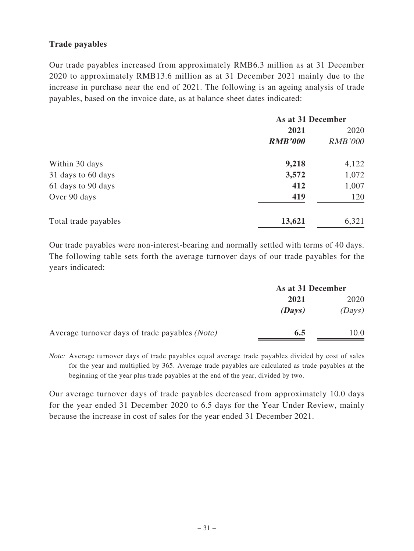### **Trade payables**

Our trade payables increased from approximately RMB6.3 million as at 31 December 2020 to approximately RMB13.6 million as at 31 December 2021 mainly due to the increase in purchase near the end of 2021. The following is an ageing analysis of trade payables, based on the invoice date, as at balance sheet dates indicated:

|                      | As at 31 December |                |
|----------------------|-------------------|----------------|
|                      | 2021              | 2020           |
|                      | <b>RMB'000</b>    | <b>RMB'000</b> |
| Within 30 days       | 9,218             | 4,122          |
| 31 days to 60 days   | 3,572             | 1,072          |
| 61 days to 90 days   | 412               | 1,007          |
| Over 90 days         | 419               | 120            |
| Total trade payables | 13,621            | 6,321          |

Our trade payables were non-interest-bearing and normally settled with terms of 40 days. The following table sets forth the average turnover days of our trade payables for the years indicated:

|                                                | As at 31 December |        |
|------------------------------------------------|-------------------|--------|
|                                                | 2021              | 2020   |
|                                                | (Days)            | (Days) |
| Average turnover days of trade payables (Note) | 6.5               | 10.0   |

Note: Average turnover days of trade payables equal average trade payables divided by cost of sales for the year and multiplied by 365. Average trade payables are calculated as trade payables at the beginning of the year plus trade payables at the end of the year, divided by two.

Our average turnover days of trade payables decreased from approximately 10.0 days for the year ended 31 December 2020 to 6.5 days for the Year Under Review, mainly because the increase in cost of sales for the year ended 31 December 2021.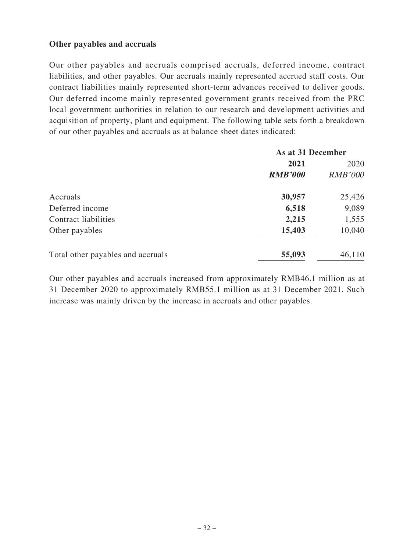### **Other payables and accruals**

Our other payables and accruals comprised accruals, deferred income, contract liabilities, and other payables. Our accruals mainly represented accrued staff costs. Our contract liabilities mainly represented short-term advances received to deliver goods. Our deferred income mainly represented government grants received from the PRC local government authorities in relation to our research and development activities and acquisition of property, plant and equipment. The following table sets forth a breakdown of our other payables and accruals as at balance sheet dates indicated:

| As at 31 December |                |
|-------------------|----------------|
| 2021              | 2020           |
| <b>RMB'000</b>    | <b>RMB'000</b> |
| 30,957            | 25,426         |
| 6,518             | 9,089          |
| 2,215             | 1,555          |
| 15,403            | 10,040         |
| 55,093            | 46,110         |
|                   |                |

Our other payables and accruals increased from approximately RMB46.1 million as at 31 December 2020 to approximately RMB55.1 million as at 31 December 2021. Such increase was mainly driven by the increase in accruals and other payables.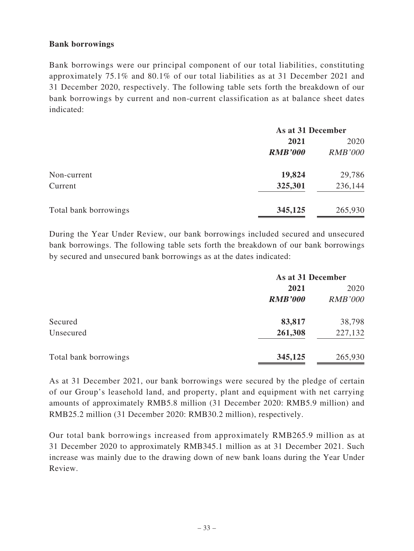### **Bank borrowings**

Bank borrowings were our principal component of our total liabilities, constituting approximately 75.1% and 80.1% of our total liabilities as at 31 December 2021 and 31 December 2020, respectively. The following table sets forth the breakdown of our bank borrowings by current and non-current classification as at balance sheet dates indicated:

|                       | As at 31 December |                |
|-----------------------|-------------------|----------------|
|                       | 2021              | 2020           |
|                       | <b>RMB'000</b>    | <b>RMB'000</b> |
| Non-current           | 19,824            | 29,786         |
| Current               | 325,301           | 236,144        |
| Total bank borrowings | 345,125           | 265,930        |

During the Year Under Review, our bank borrowings included secured and unsecured bank borrowings. The following table sets forth the breakdown of our bank borrowings by secured and unsecured bank borrowings as at the dates indicated:

|                       | As at 31 December |                |
|-----------------------|-------------------|----------------|
|                       | 2021              | 2020           |
|                       | <b>RMB'000</b>    | <b>RMB'000</b> |
| Secured               | 83,817            | 38,798         |
| Unsecured             | 261,308           | 227,132        |
| Total bank borrowings | 345,125           | 265,930        |

As at 31 December 2021, our bank borrowings were secured by the pledge of certain of our Group's leasehold land, and property, plant and equipment with net carrying amounts of approximately RMB5.8 million (31 December 2020: RMB5.9 million) and RMB25.2 million (31 December 2020: RMB30.2 million), respectively.

Our total bank borrowings increased from approximately RMB265.9 million as at 31 December 2020 to approximately RMB345.1 million as at 31 December 2021. Such increase was mainly due to the drawing down of new bank loans during the Year Under Review.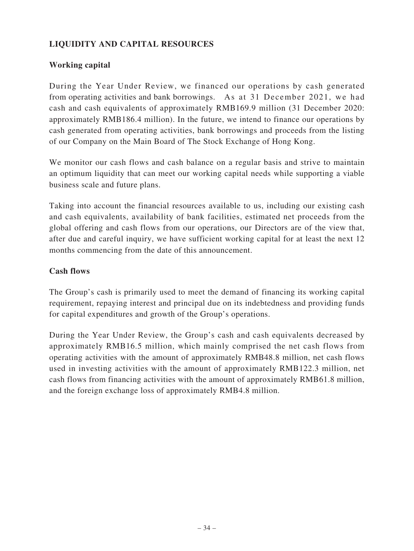## **LIQUIDITY AND CAPITAL RESOURCES**

## **Working capital**

During the Year Under Review, we financed our operations by cash generated from operating activities and bank borrowings. As at 31 December 2021, we had cash and cash equivalents of approximately RMB169.9 million (31 December 2020: approximately RMB186.4 million). In the future, we intend to finance our operations by cash generated from operating activities, bank borrowings and proceeds from the listing of our Company on the Main Board of The Stock Exchange of Hong Kong.

We monitor our cash flows and cash balance on a regular basis and strive to maintain an optimum liquidity that can meet our working capital needs while supporting a viable business scale and future plans.

Taking into account the financial resources available to us, including our existing cash and cash equivalents, availability of bank facilities, estimated net proceeds from the global offering and cash flows from our operations, our Directors are of the view that, after due and careful inquiry, we have sufficient working capital for at least the next 12 months commencing from the date of this announcement.

#### **Cash flows**

The Group's cash is primarily used to meet the demand of financing its working capital requirement, repaying interest and principal due on its indebtedness and providing funds for capital expenditures and growth of the Group's operations.

During the Year Under Review, the Group's cash and cash equivalents decreased by approximately RMB16.5 million, which mainly comprised the net cash flows from operating activities with the amount of approximately RMB48.8 million, net cash flows used in investing activities with the amount of approximately RMB122.3 million, net cash flows from financing activities with the amount of approximately RMB61.8 million, and the foreign exchange loss of approximately RMB4.8 million.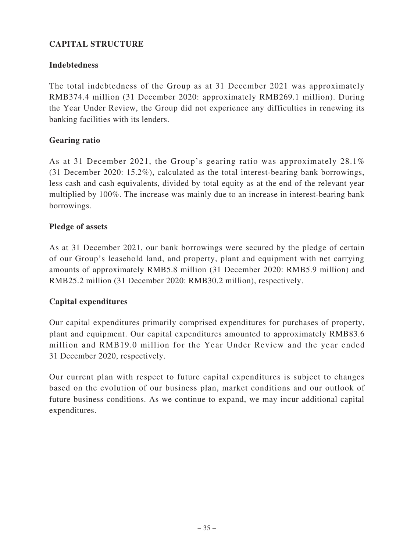## **CAPITAL STRUCTURE**

## **Indebtedness**

The total indebtedness of the Group as at 31 December 2021 was approximately RMB374.4 million (31 December 2020: approximately RMB269.1 million). During the Year Under Review, the Group did not experience any difficulties in renewing its banking facilities with its lenders.

## **Gearing ratio**

As at 31 December 2021, the Group's gearing ratio was approximately 28.1% (31 December 2020: 15.2%), calculated as the total interest-bearing bank borrowings, less cash and cash equivalents, divided by total equity as at the end of the relevant year multiplied by 100%. The increase was mainly due to an increase in interest-bearing bank borrowings.

## **Pledge of assets**

As at 31 December 2021, our bank borrowings were secured by the pledge of certain of our Group's leasehold land, and property, plant and equipment with net carrying amounts of approximately RMB5.8 million (31 December 2020: RMB5.9 million) and RMB25.2 million (31 December 2020: RMB30.2 million), respectively.

## **Capital expenditures**

Our capital expenditures primarily comprised expenditures for purchases of property, plant and equipment. Our capital expenditures amounted to approximately RMB83.6 million and RMB19.0 million for the Year Under Review and the year ended 31 December 2020, respectively.

Our current plan with respect to future capital expenditures is subject to changes based on the evolution of our business plan, market conditions and our outlook of future business conditions. As we continue to expand, we may incur additional capital expenditures.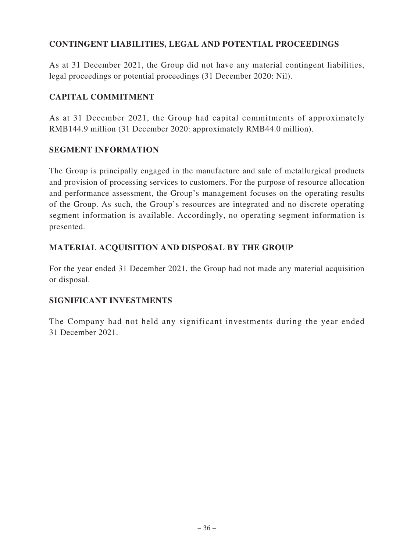## **CONTINGENT LIABILITIES, LEGAL AND POTENTIAL PROCEEDINGS**

As at 31 December 2021, the Group did not have any material contingent liabilities, legal proceedings or potential proceedings (31 December 2020: Nil).

## **CAPITAL COMMITMENT**

As at 31 December 2021, the Group had capital commitments of approximately RMB144.9 million (31 December 2020: approximately RMB44.0 million).

## **SEGMENT INFORMATION**

The Group is principally engaged in the manufacture and sale of metallurgical products and provision of processing services to customers. For the purpose of resource allocation and performance assessment, the Group's management focuses on the operating results of the Group. As such, the Group's resources are integrated and no discrete operating segment information is available. Accordingly, no operating segment information is presented.

## **MATERIAL ACQUISITION AND DISPOSAL BY THE GROUP**

For the year ended 31 December 2021, the Group had not made any material acquisition or disposal.

### **SIGNIFICANT INVESTMENTS**

The Company had not held any significant investments during the year ended 31 December 2021.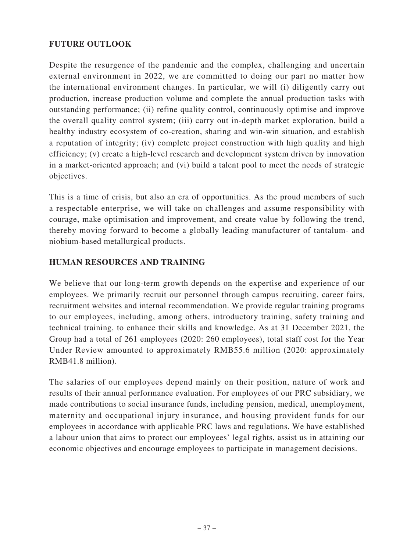## **FUTURE OUTLOOK**

Despite the resurgence of the pandemic and the complex, challenging and uncertain external environment in 2022, we are committed to doing our part no matter how the international environment changes. In particular, we will (i) diligently carry out production, increase production volume and complete the annual production tasks with outstanding performance; (ii) refine quality control, continuously optimise and improve the overall quality control system; (iii) carry out in-depth market exploration, build a healthy industry ecosystem of co-creation, sharing and win-win situation, and establish a reputation of integrity; (iv) complete project construction with high quality and high efficiency; (v) create a high-level research and development system driven by innovation in a market-oriented approach; and (vi) build a talent pool to meet the needs of strategic objectives.

This is a time of crisis, but also an era of opportunities. As the proud members of such a respectable enterprise, we will take on challenges and assume responsibility with courage, make optimisation and improvement, and create value by following the trend, thereby moving forward to become a globally leading manufacturer of tantalum- and niobium-based metallurgical products.

## **HUMAN RESOURCES AND TRAINING**

We believe that our long-term growth depends on the expertise and experience of our employees. We primarily recruit our personnel through campus recruiting, career fairs, recruitment websites and internal recommendation. We provide regular training programs to our employees, including, among others, introductory training, safety training and technical training, to enhance their skills and knowledge. As at 31 December 2021, the Group had a total of 261 employees (2020: 260 employees), total staff cost for the Year Under Review amounted to approximately RMB55.6 million (2020: approximately RMB41.8 million).

The salaries of our employees depend mainly on their position, nature of work and results of their annual performance evaluation. For employees of our PRC subsidiary, we made contributions to social insurance funds, including pension, medical, unemployment, maternity and occupational injury insurance, and housing provident funds for our employees in accordance with applicable PRC laws and regulations. We have established a labour union that aims to protect our employees' legal rights, assist us in attaining our economic objectives and encourage employees to participate in management decisions.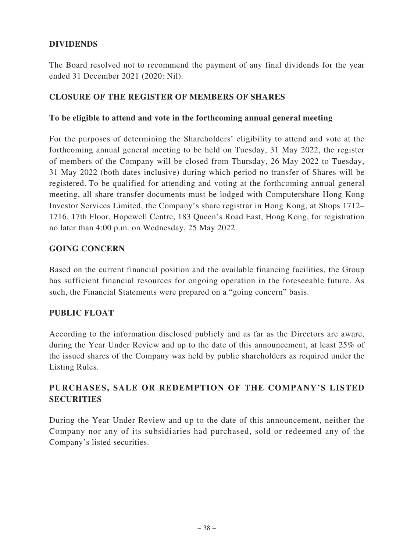## **DIVIDENDS**

The Board resolved not to recommend the payment of any final dividends for the year ended 31 December 2021 (2020: Nil).

### **CLOSURE OF THE REGISTER OF MEMBERS OF SHARES**

#### **To be eligible to attend and vote in the forthcoming annual general meeting**

For the purposes of determining the Shareholders' eligibility to attend and vote at the forthcoming annual general meeting to be held on Tuesday, 31 May 2022, the register of members of the Company will be closed from Thursday, 26 May 2022 to Tuesday, 31 May 2022 (both dates inclusive) during which period no transfer of Shares will be registered. To be qualified for attending and voting at the forthcoming annual general meeting, all share transfer documents must be lodged with Computershare Hong Kong Investor Services Limited, the Company's share registrar in Hong Kong, at Shops 1712– 1716, 17th Floor, Hopewell Centre, 183 Queen's Road East, Hong Kong, for registration no later than 4:00 p.m. on Wednesday, 25 May 2022.

### **GOING CONCERN**

Based on the current financial position and the available financing facilities, the Group has sufficient financial resources for ongoing operation in the foreseeable future. As such, the Financial Statements were prepared on a "going concern" basis.

### **PUBLIC FLOAT**

According to the information disclosed publicly and as far as the Directors are aware, during the Year Under Review and up to the date of this announcement, at least 25% of the issued shares of the Company was held by public shareholders as required under the Listing Rules.

## **PURCHASES, SALE OR REDEMPTION OF THE COMPANY'S LISTED SECURITIES**

During the Year Under Review and up to the date of this announcement, neither the Company nor any of its subsidiaries had purchased, sold or redeemed any of the Company's listed securities.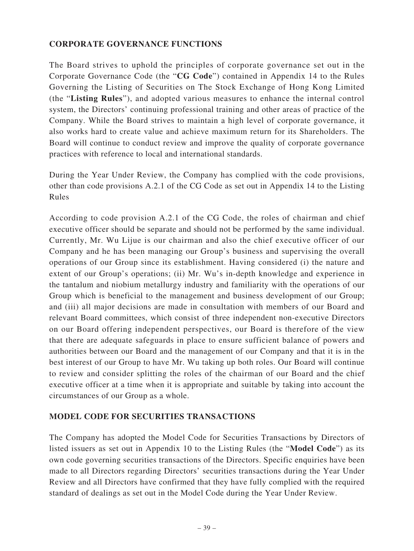### **CORPORATE GOVERNANCE FUNCTIONS**

The Board strives to uphold the principles of corporate governance set out in the Corporate Governance Code (the "**CG Code**") contained in Appendix 14 to the Rules Governing the Listing of Securities on The Stock Exchange of Hong Kong Limited (the "**Listing Rules**"), and adopted various measures to enhance the internal control system, the Directors' continuing professional training and other areas of practice of the Company. While the Board strives to maintain a high level of corporate governance, it also works hard to create value and achieve maximum return for its Shareholders. The Board will continue to conduct review and improve the quality of corporate governance practices with reference to local and international standards.

During the Year Under Review, the Company has complied with the code provisions, other than code provisions A.2.1 of the CG Code as set out in Appendix 14 to the Listing Rules

According to code provision A.2.1 of the CG Code, the roles of chairman and chief executive officer should be separate and should not be performed by the same individual. Currently, Mr. Wu Lijue is our chairman and also the chief executive officer of our Company and he has been managing our Group's business and supervising the overall operations of our Group since its establishment. Having considered (i) the nature and extent of our Group's operations; (ii) Mr. Wu's in-depth knowledge and experience in the tantalum and niobium metallurgy industry and familiarity with the operations of our Group which is beneficial to the management and business development of our Group; and (iii) all major decisions are made in consultation with members of our Board and relevant Board committees, which consist of three independent non-executive Directors on our Board offering independent perspectives, our Board is therefore of the view that there are adequate safeguards in place to ensure sufficient balance of powers and authorities between our Board and the management of our Company and that it is in the best interest of our Group to have Mr. Wu taking up both roles. Our Board will continue to review and consider splitting the roles of the chairman of our Board and the chief executive officer at a time when it is appropriate and suitable by taking into account the circumstances of our Group as a whole.

### **MODEL CODE FOR SECURITIES TRANSACTIONS**

The Company has adopted the Model Code for Securities Transactions by Directors of listed issuers as set out in Appendix 10 to the Listing Rules (the "**Model Code**") as its own code governing securities transactions of the Directors. Specific enquiries have been made to all Directors regarding Directors' securities transactions during the Year Under Review and all Directors have confirmed that they have fully complied with the required standard of dealings as set out in the Model Code during the Year Under Review.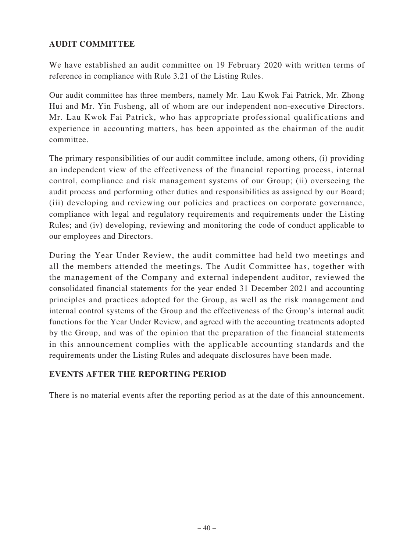## **AUDIT COMMITTEE**

We have established an audit committee on 19 February 2020 with written terms of reference in compliance with Rule 3.21 of the Listing Rules.

Our audit committee has three members, namely Mr. Lau Kwok Fai Patrick, Mr. Zhong Hui and Mr. Yin Fusheng, all of whom are our independent non-executive Directors. Mr. Lau Kwok Fai Patrick, who has appropriate professional qualifications and experience in accounting matters, has been appointed as the chairman of the audit committee.

The primary responsibilities of our audit committee include, among others, (i) providing an independent view of the effectiveness of the financial reporting process, internal control, compliance and risk management systems of our Group; (ii) overseeing the audit process and performing other duties and responsibilities as assigned by our Board; (iii) developing and reviewing our policies and practices on corporate governance, compliance with legal and regulatory requirements and requirements under the Listing Rules; and (iv) developing, reviewing and monitoring the code of conduct applicable to our employees and Directors.

During the Year Under Review, the audit committee had held two meetings and all the members attended the meetings. The Audit Committee has, together with the management of the Company and external independent auditor, reviewed the consolidated financial statements for the year ended 31 December 2021 and accounting principles and practices adopted for the Group, as well as the risk management and internal control systems of the Group and the effectiveness of the Group's internal audit functions for the Year Under Review, and agreed with the accounting treatments adopted by the Group, and was of the opinion that the preparation of the financial statements in this announcement complies with the applicable accounting standards and the requirements under the Listing Rules and adequate disclosures have been made.

### **EVENTS AFTER THE REPORTING PERIOD**

There is no material events after the reporting period as at the date of this announcement.